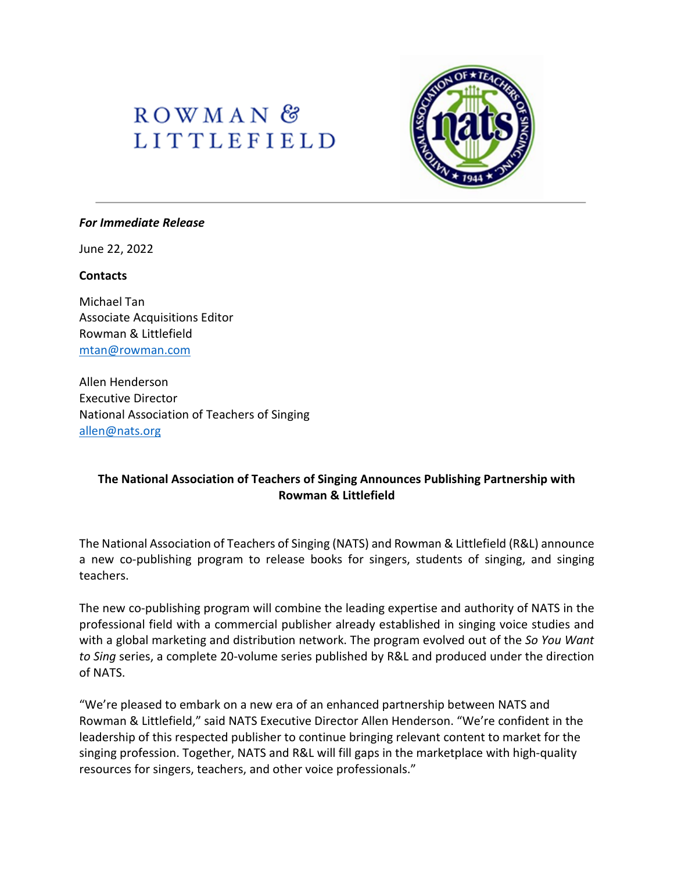# ROWMAN<sup>&</sup> **LITTLEFIELD**



#### *For Immediate Release*

June 22, 2022

#### **Contacts**

Michael Tan Associate Acquisitions Editor Rowman & Littlefield [mtan@rowman.com](mailto:mtan@rowman.com)

Allen Henderson Executive Director National Association of Teachers of Singing [allen@nats.org](mailto:allen@nats.org)

### **The National Association of Teachers of Singing Announces Publishing Partnership with Rowman & Littlefield**

The National Association of Teachers of Singing (NATS) and Rowman & Littlefield (R&L) announce a new co-publishing program to release books for singers, students of singing, and singing teachers.

The new co-publishing program will combine the leading expertise and authority of NATS in the professional field with a commercial publisher already established in singing voice studies and with a global marketing and distribution network. The program evolved out of the *So You Want to Sing* series, a complete 20-volume series published by R&L and produced under the direction of NATS.

"We're pleased to embark on a new era of an enhanced partnership between NATS and Rowman & Littlefield," said NATS Executive Director Allen Henderson. "We're confident in the leadership of this respected publisher to continue bringing relevant content to market for the singing profession. Together, NATS and R&L will fill gaps in the marketplace with high-quality resources for singers, teachers, and other voice professionals."